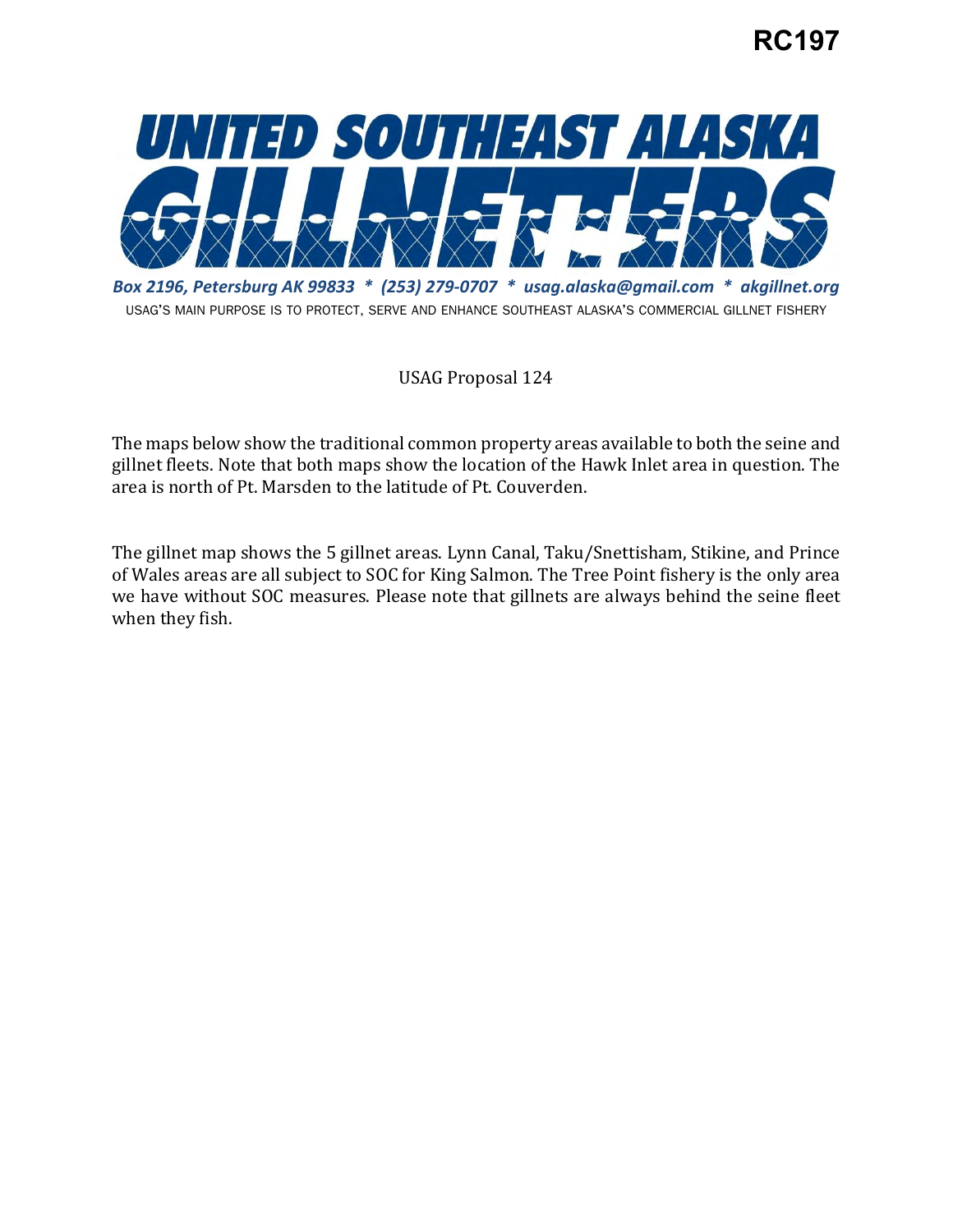## **RC197**



 *Box 2196, Petersburg AK 99833 \* (253) 279-0707 \* [usag.alaska@gmail.com](mailto:usag.alaska@gmail.com) \* [akgillnet.org](https://akgillnet.org)*  USAG'S MAIN PURPOSE IS TO PROTECT, SERVE AND ENHANCE SOUTHEAST ALASKA'S COMMERCIAL GILLNET FISHERY

USAG Proposal 124

 The maps below show the traditional common property areas available to both the seine and gillnet fleets. Note that both maps show the location of the Hawk Inlet area in question. The area is north of Pt. Marsden to the latitude of Pt. Couverden.

 The gillnet map shows the 5 gillnet areas. Lynn Canal, Taku/Snettisham, Stikine, and Prince we have without SOC measures. Please note that gillnets are always behind the seine fleet of Wales areas are all subject to SOC for King Salmon. The Tree Point fishery is the only area when they fish.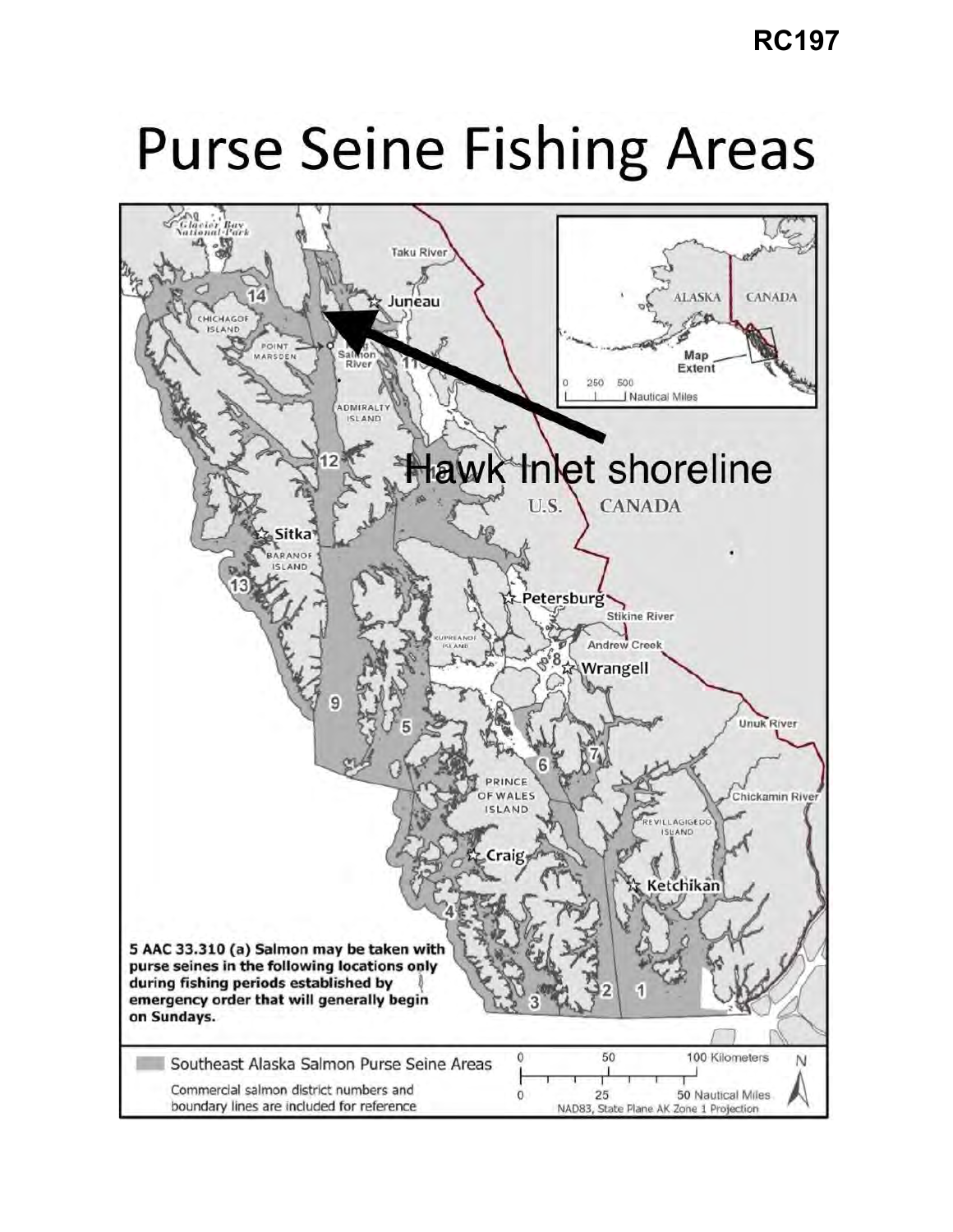## **Purse Seine Fishing Areas**